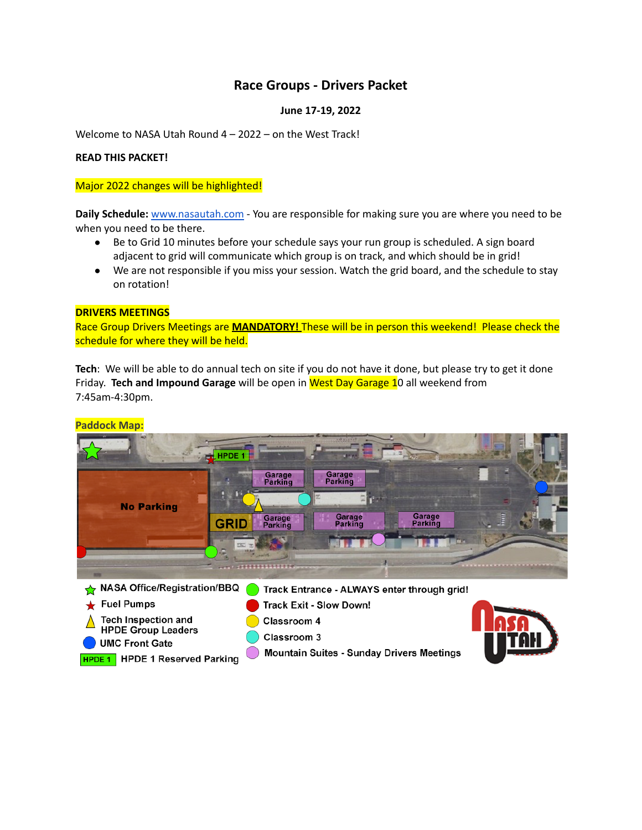## **Race Groups - Drivers Packet**

### **June 17-19, 2022**

Welcome to NASA Utah Round 4 – 2022 – on the West Track!

### **READ THIS PACKET!**

### Major 2022 changes will be highlighted!

**Daily Schedule:** [www.nasautah.com](http://www.nasautah.com) - You are responsible for making sure you are where you need to be when you need to be there.

- Be to Grid 10 minutes before your schedule says your run group is scheduled. A sign board adjacent to grid will communicate which group is on track, and which should be in grid!
- We are not responsible if you miss your session. Watch the grid board, and the schedule to stay on rotation!

### **DRIVERS MEETINGS**

Race Group Drivers Meetings are **MANDATORY!** These will be in person this weekend! Please check the schedule for where they will be held.

**Tech**: We will be able to do annual tech on site if you do not have it done, but please try to get it done Friday. **Tech and Impound Garage** will be open in West Day Garage 10 all weekend from 7:45am-4:30pm.